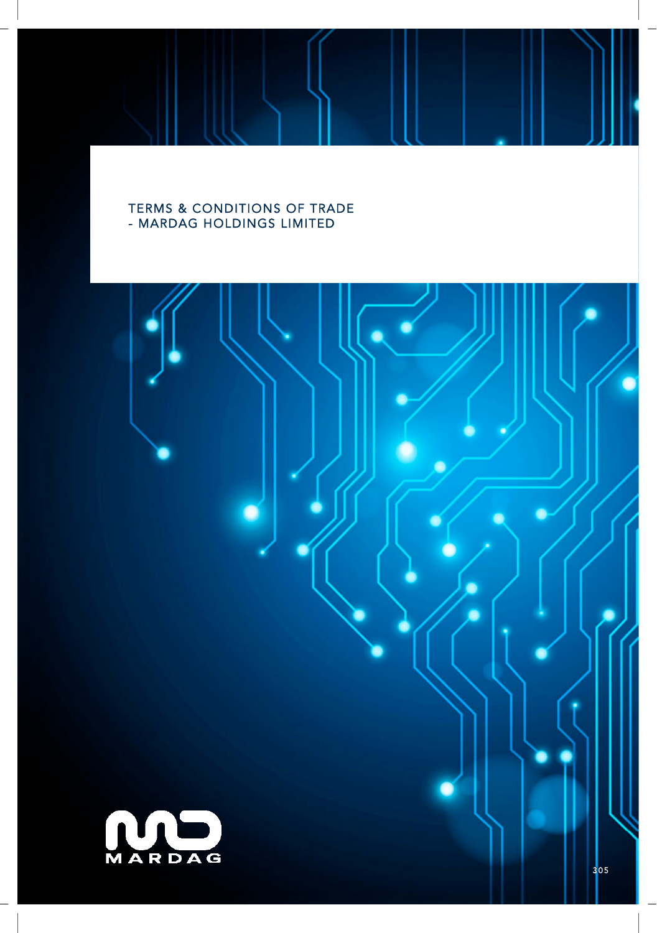# TERMS & CONDITIONS OF TRADE - MARDAG HOLDINGS LIMITED

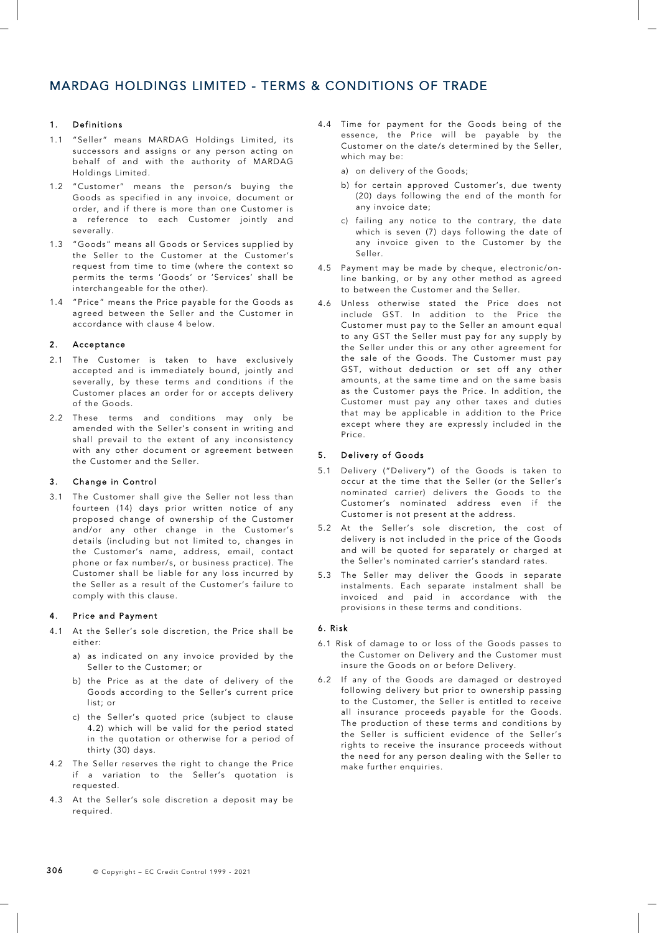# 1. Definitions

- 1.1 "Seller" means MARDAG Holdings Limited, its successors and assigns or any person acting on behalf of and with the authority of MARDAG Holdings Limited.
- 1.2 "Customer" means the person/s buying the Goods as specified in any invoice, document or order, and if there is more than one Customer is a reference to each Customer jointly and severally.
- 1.3 "Goods" means all Goods or Services supplied by the Seller to the Customer at the Customer's request from time to time (where the context so permits the terms 'Goods' or 'Services' shall be interchangeable for the other).
- 1.4 "Price" means the Price payable for the Goods as agreed between the Seller and the Customer in accordance with clause 4 below.

### 2. Acceptance

- 2.1 The Customer is taken to have exclusively accepted and is immediately bound, jointly and severally, by these terms and conditions if the Customer places an order for or accepts delivery of the Goods.
- 2.2 These terms and conditions may only be amended with the Seller's consent in writing and shall prevail to the extent of any inconsistency with any other document or agreement between the Customer and the Seller.

### 3. Change in Control

3.1 The Customer shall give the Seller not less than fourteen (14) days prior written notice of any proposed change of ownership of the Customer and/or any other change in the Customer's details (including but not limited to, changes in the Customer's name, address, email, contact phone or fax number/s, or business practice). The Customer shall be liable for any loss incurred by the Seller as a result of the Customer's failure to comply with this clause.

### 4. Price and Payment

- 4.1 At the Seller's sole discretion, the Price shall be either:
	- a) as indicated on any invoice provided by the Seller to the Customer; or
	- b) the Price as at the date of delivery of the Goods according to the Seller's current price list; or
	- c) the Seller's quoted price (subject to clause 4.2) which will be valid for the period stated in the quotation or otherwise for a period of thirty (30) days.
- 4.2 The Seller reserves the right to change the Price if a variation to the Seller's quotation is requested.
- 4.3 At the Seller's sole discretion a deposit may be required.
- 4.4 Time for payment for the Goods being of the essence, the Price will be payable by the Customer on the date/s determined by the Seller, which may be:
	- a) on delivery of the Goods;
	- b) for certain approved Customer's, due twenty (20) days following the end of the month for any invoice date;
	- c) failing any notice to the contrary, the date which is seven (7) days following the date of any invoice given to the Customer by the Seller.
- 4.5 Payment may be made by cheque, electronic/online banking, or by any other method as agreed to between the Customer and the Seller.
- 4.6 Unless otherwise stated the Price does not include GST. In addition to the Price the Customer must pay to the Seller an amount equal to any GST the Seller must pay for any supply by the Seller under this or any other agreement for the sale of the Goods. The Customer must pay GST, without deduction or set off any other amounts, at the same time and on the same basis as the Customer pays the Price. In addition, the Customer must pay any other taxes and duties that may be applicable in addition to the Price except where they are expressly included in the Price.

# 5. Delivery of Goods

- 5.1 Delivery ("Delivery") of the Goods is taken to occur at the time that the Seller (or the Seller's nominated carrier) delivers the Goods to the Customer's nominated address even if the Customer is not present at the address.
- 5.2 At the Seller's sole discretion, the cost of delivery is not included in the price of the Goods and will be quoted for separately or charged at the Seller's nominated carrier's standard rates.
- 5.3 The Seller may deliver the Goods in separate instalments. Each separate instalment shall be invoiced and paid in accordance with the provisions in these terms and conditions.

# 6. Risk

- 6.1 Risk of damage to or loss of the Goods passes to the Customer on Delivery and the Customer must insure the Goods on or before Delivery.
- 6.2 If any of the Goods are damaged or destroyed following delivery but prior to ownership passing to the Customer, the Seller is entitled to receive all insurance proceeds payable for the Goods. The production of these terms and conditions by the Seller is sufficient evidence of the Seller's rights to receive the insurance proceeds without the need for any person dealing with the Seller to make further enquiries.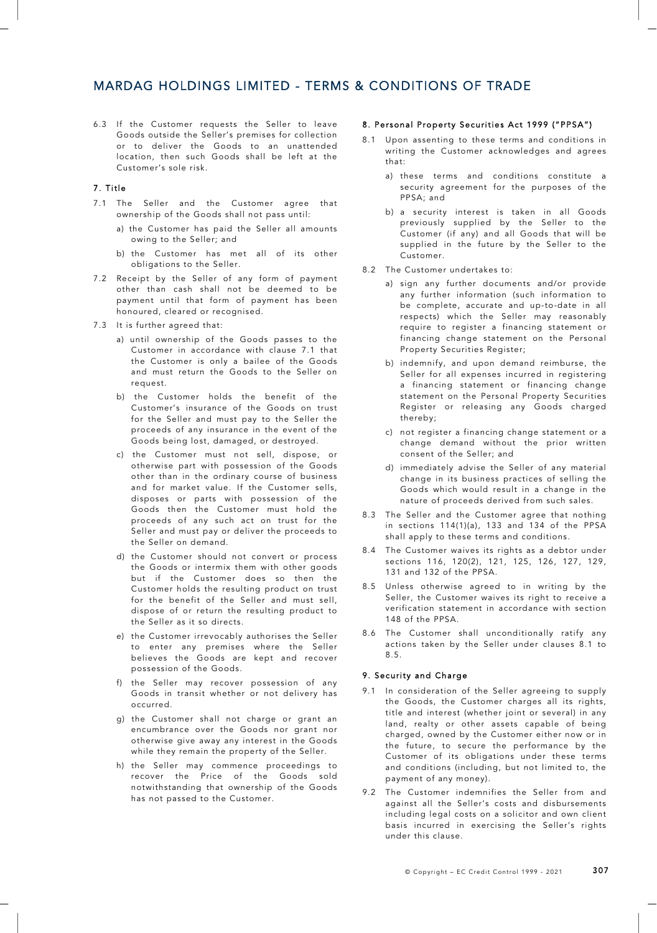# MARDAG HOLDINGS LIMITED - TERMS & CONDITIONS OF TRADE

6.3 If the Customer requests the Seller to leave Goods outside the Seller's premises for collection or to deliver the Goods to an unattended location, then such Goods shall be left at the Customer's sole risk.

## 7. Title

- 7.1 The Seller and the Customer agree that ownership of the Goods shall not pass until:
	- a) the Customer has paid the Seller all amounts owing to the Seller; and
	- b) the Customer has met all of its other obligations to the Seller.
- 7.2 Receipt by the Seller of any form of payment other than cash shall not be deemed to be payment until that form of payment has been honoured, cleared or recognised.
- 7.3 It is further agreed that:
	- a) until ownership of the Goods passes to the Customer in accordance with clause 7.1 that the Customer is only a bailee of the Goods and must return the Goods to the Seller on request.
	- b) the Customer holds the benefit of the Customer's insurance of the Goods on trust for the Seller and must pay to the Seller the proceeds of any insurance in the event of the Goods being lost, damaged, or destroyed.
	- c) the Customer must not sell, dispose, or otherwise part with possession of the Goods other than in the ordinary course of business and for market value. If the Customer sells, disposes or parts with possession of the Goods then the Customer must hold the proceeds of any such act on trust for the Seller and must pay or deliver the proceeds to the Seller on demand.
	- d) the Customer should not convert or process the Goods or intermix them with other goods but if the Customer does so then the Customer holds the resulting product on trust for the benefit of the Seller and must sell, dispose of or return the resulting product to the Seller as it so directs.
	- e) the Customer irrevocably authorises the Seller to enter any premises where the Seller believes the Goods are kept and recover possession of the Goods.
	- f) the Seller may recover possession of any Goods in transit whether or not delivery has occurred.
	- g) the Customer shall not charge or grant an encumbrance over the Goods nor grant nor otherwise give away any interest in the Goods while they remain the property of the Seller.
	- h) the Seller may commence proceedings to recover the Price of the Goods sold notwithstanding that ownership of the Goods has not passed to the Customer.

## 8. Personal Property Securities Act 1999 ("PPSA")

- 8.1 Upon assenting to these terms and conditions in writing the Customer acknowledges and agrees that:
	- a) these terms and conditions constitute a security agreement for the purposes of the PPSA; and
	- b) a security interest is taken in all Goods previously supplied by the Seller to the Customer (if any) and all Goods that will be supplied in the future by the Seller to the Customer.
- 8.2 The Customer undertakes to:
	- a) sign any further documents and/or provide any further information (such information to be complete, accurate and up-to-date in all respects) which the Seller may reasonably require to register a financing statement or financing change statement on the Personal Property Securities Register;
	- b) indemnify, and upon demand reimburse, the Seller for all expenses incurred in registering a financing statement or financing change statement on the Personal Property Securities Register or releasing any Goods charged thereby;
	- c) not register a financing change statement or a change demand without the prior written consent of the Seller; and
	- d) immediately advise the Seller of any material change in its business practices of selling the Goods which would result in a change in the nature of proceeds derived from such sales.
- 8.3 The Seller and the Customer agree that nothing in sections 114(1)(a), 133 and 134 of the PPSA shall apply to these terms and conditions.
- 8.4 The Customer waives its rights as a debtor under sections 116, 120(2), 121, 125, 126, 127, 129, 131 and 132 of the PPSA.
- 8.5 Unless otherwise agreed to in writing by the Seller, the Customer waives its right to receive a verification statement in accordance with section 148 of the PPSA.
- 8.6 The Customer shall unconditionally ratify any actions taken by the Seller under clauses 8.1 to 8.5.

### 9. Security and Charge

- 9.1 In consideration of the Seller agreeing to supply the Goods, the Customer charges all its rights, title and interest (whether joint or several) in any land, realty or other assets capable of being charged, owned by the Customer either now or in the future, to secure the performance by the Customer of its obligations under these terms and conditions (including, but not limited to, the payment of any money).
- 9.2 The Customer indemnifies the Seller from and against all the Seller's costs and disbursements including legal costs on a solicitor and own client basis incurred in exercising the Seller's rights under this clause.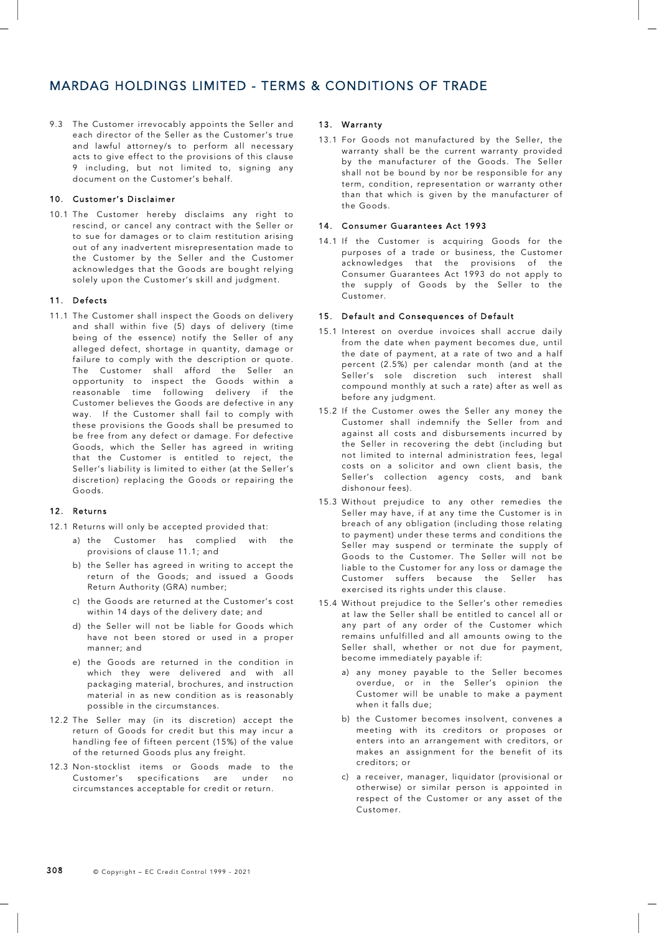# MARDAG HOLDINGS LIMITED - TERMS & CONDITIONS OF TRADE

9.3 The Customer irrevocably appoints the Seller and each director of the Seller as the Customer's true and lawful attorney/s to perform all necessary acts to give effect to the provisions of this clause 9 including, but not limited to, signing any document on the Customer's behalf.

# 10. Customer's Disclaimer

10.1 The Customer hereby disclaims any right to rescind, or cancel any contract with the Seller or to sue for damages or to claim restitution arising out of any inadvertent misrepresentation made to the Customer by the Seller and the Customer acknowledges that the Goods are bought relying solely upon the Customer's skill and judgment.

## 11. Defects

11.1 The Customer shall inspect the Goods on delivery and shall within five (5) days of delivery (time being of the essence) notify the Seller of any alleged defect, shortage in quantity, damage or failure to comply with the description or quote. The Customer shall afford the Seller an opportunity to inspect the Goods within a reasonable time following delivery if the Customer believes the Goods are defective in any way. If the Customer shall fail to comply with these provisions the Goods shall be presumed to be free from any defect or damage. For defective Goods, which the Seller has agreed in writing that the Customer is entitled to reject, the Seller's liability is limited to either (at the Seller's discretion) replacing the Goods or repairing the Goods.

# 12. Returns

- 12.1 Returns will only be accepted provided that:
	- a) the Customer has complied with the provisions of clause 11.1; and
	- b) the Seller has agreed in writing to accept the return of the Goods; and issued a Goods Return Authority (GRA) number;
	- c) the Goods are returned at the Customer's cost within 14 days of the delivery date; and
	- d) the Seller will not be liable for Goods which have not been stored or used in a proper manner; and
	- e) the Goods are returned in the condition in which they were delivered and with all packaging material, brochures, and instruction material in as new condition as is reasonably possible in the circumstances.
- 12.2 The Seller may (in its discretion) accept the return of Goods for credit but this may incur a handling fee of fifteen percent (15%) of the value of the returned Goods plus any freight.
- 12.3 Non-stocklist items or Goods made to the Customer's specifications are under no circumstances acceptable for credit or return.

## 13. Warranty

13.1 For Goods not manufactured by the Seller, the warranty shall be the current warranty provided by the manufacturer of the Goods. The Seller shall not be bound by nor be responsible for any term, condition, representation or warranty other than that which is given by the manufacturer of the Goods.

### 14. Consumer Guarantees Act 1993

14.1 If the Customer is acquiring Goods for the purposes of a trade or business, the Customer acknowledges that the provisions of the Consumer Guarantees Act 1993 do not apply to the supply of Goods by the Seller to the Customer.

# 15. Default and Consequences of Default

- 15.1 Interest on overdue invoices shall accrue daily from the date when payment becomes due, until the date of payment, at a rate of two and a half percent (2.5%) per calendar month (and at the Seller's sole discretion such interest shall compound monthly at such a rate) after as well as before any judgment.
- 15.2 If the Customer owes the Seller any money the Customer shall indemnify the Seller from and against all costs and disbursements incurred by the Seller in recovering the debt (including but not limited to internal administration fees, legal costs on a solicitor and own client basis, the Seller's collection agency costs, and bank dishonour fees).
- 15.3 Without prejudice to any other remedies the Seller may have, if at any time the Customer is in breach of any obligation (including those relating to payment) under these terms and conditions the Seller may suspend or terminate the supply of Goods to the Customer. The Seller will not be liable to the Customer for any loss or damage the Customer suffers because the Seller has exercised its rights under this clause.
- 15.4 Without prejudice to the Seller's other remedies at law the Seller shall be entitled to cancel all or any part of any order of the Customer which remains unfulfilled and all amounts owing to the Seller shall, whether or not due for payment, become immediately payable if:
	- a) any money payable to the Seller becomes overdue, or in the Seller's opinion the Customer will be unable to make a payment when it falls due;
	- b) the Customer becomes insolvent, convenes a meeting with its creditors or proposes or enters into an arrangement with creditors, or makes an assignment for the benefit of its creditors; or
	- c) a receiver, manager, liquidator (provisional or otherwise) or similar person is appointed in respect of the Customer or any asset of the Customer.